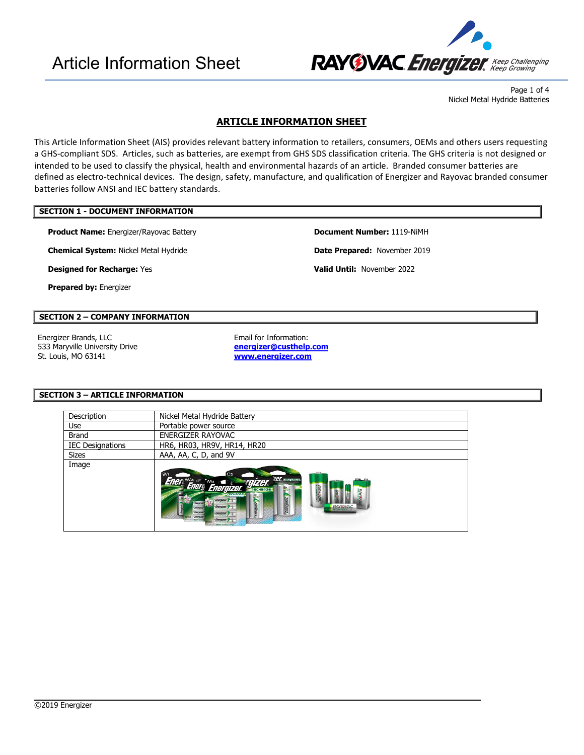

Page 1 of 4 Nickel Metal Hydride Batteries

## **ARTICLE INFORMATION SHEET**

This Article Information Sheet (AIS) provides relevant battery information to retailers, consumers, OEMs and others users requesting a GHS-compliant SDS. Articles, such as batteries, are exempt from GHS SDS classification criteria. The GHS criteria is not designed or intended to be used to classify the physical, health and environmental hazards of an article. Branded consumer batteries are defined as electro-technical devices. The design, safety, manufacture, and qualification of Energizer and Rayovac branded consumer batteries follow ANSI and IEC battery standards.

#### **SECTION 1 - DOCUMENT INFORMATION**

**Product Name:** Energizer/Rayovac Battery **Document Number:** 1119-NiMH

**Chemical System:** Nickel Metal Hydride **Date Prepared:** November 2019

**Designed for Recharge:** Yes **Valid Until:** November 2022

**Prepared by:** Energizer

## **SECTION 2 – COMPANY INFORMATION**

Energizer Brands, LLC **Email for Information:** 533 Maryville University Drive St. Louis, MO 63141

**[energizer@custhelp.com](mailto:energizer@custhelp.com) [www.energizer.com](http://www.energizer.com/)**

### **SECTION 3 – ARTICLE INFORMATION**

| Description             | Nickel Metal Hydride Battery                                                                                                                                                                                                                   |  |
|-------------------------|------------------------------------------------------------------------------------------------------------------------------------------------------------------------------------------------------------------------------------------------|--|
| <b>Use</b>              | Portable power source                                                                                                                                                                                                                          |  |
| Brand                   | ENERGIZER RAYOVAC                                                                                                                                                                                                                              |  |
| <b>IEC Designations</b> | HR6, HR03, HR9V, HR14, HR20                                                                                                                                                                                                                    |  |
| <b>Sizes</b>            | AAA, AA, C, D, and 9V                                                                                                                                                                                                                          |  |
| Image                   | SV <sub>1</sub><br>C <sub>2</sub><br><b>THEIR TEL RESERVE</b><br>Ener Energ Energiz<br>recharge.<br><b>Energizer</b><br>Energizer<br>Energizer.<br>Energize<br><b>RAYOVAC</b><br><b>Energizer</b><br>Energizer.<br><b>Cornool</b><br>Energizer |  |

 $\overline{\phantom{a}}$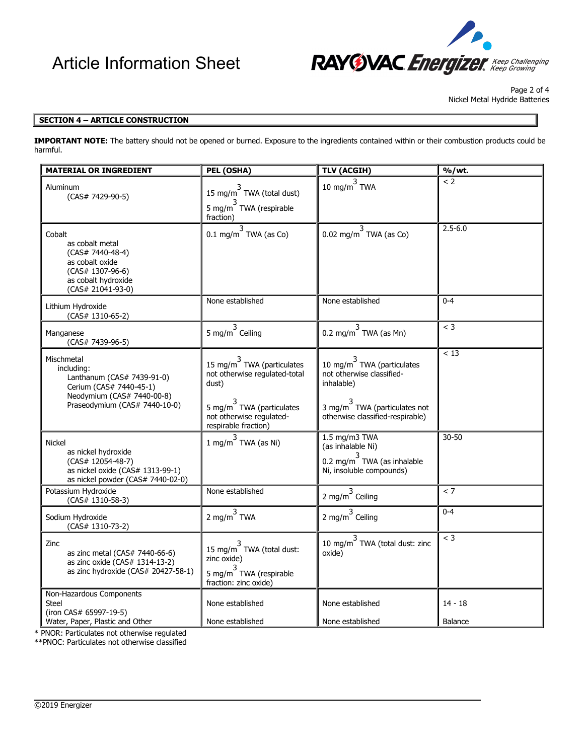

Page 2 of 4 Nickel Metal Hydride Batteries

#### **SECTION 4 – ARTICLE CONSTRUCTION**

**IMPORTANT NOTE:** The battery should not be opened or burned. Exposure to the ingredients contained within or their combustion products could be harmful.

| <b>MATERIAL OR INGREDIENT</b>                                                                                                                    | PEL (OSHA)                                                                                                                                                            | <b>TLV (ACGIH)</b>                                                                                                                                         | $\overline{\frac{9}{6}}$ /wt. |
|--------------------------------------------------------------------------------------------------------------------------------------------------|-----------------------------------------------------------------------------------------------------------------------------------------------------------------------|------------------------------------------------------------------------------------------------------------------------------------------------------------|-------------------------------|
| Aluminum<br>(CAS# 7429-90-5)                                                                                                                     | 15 mg/m <sup>3</sup> TWA (total dust)<br>5 mg/m $3$ TWA (respirable<br>fraction)                                                                                      | 10 mg/m $^3$ TWA                                                                                                                                           | < 2                           |
| Cobalt<br>as cobalt metal<br>$(CAS# 7440-48-4)$<br>as cobalt oxide<br>(CAS# 1307-96-6)<br>as cobalt hydroxide<br>(CAS# 21041-93-0)               | $0.1 \text{ mg/m}^3$ TWA (as Co)                                                                                                                                      | 0.02 mg/m <sup>3</sup> TWA (as Co)                                                                                                                         | $2.5 - 6.0$                   |
| Lithium Hydroxide<br>(CAS# 1310-65-2)                                                                                                            | None established                                                                                                                                                      | None established                                                                                                                                           | $0 - 4$                       |
| Manganese<br>(CAS# 7439-96-5)                                                                                                                    | 5 mg/m $^3$ Ceiling                                                                                                                                                   | 0.2 mg/m $^3$ TWA (as Mn)                                                                                                                                  | $<$ 3                         |
| Mischmetal<br>including:<br>Lanthanum (CAS# 7439-91-0)<br>Cerium (CAS# 7440-45-1)<br>Neodymium (CAS# 7440-00-8)<br>Praseodymium (CAS# 7440-10-0) | 15 mg/m $^3$ TWA (particulates<br>not otherwise regulated-total<br>dust)<br>5 mg/m <sup>3</sup> TWA (particulates<br>not otherwise regulated-<br>respirable fraction) | 10 mg/m $^3$ TWA (particulates<br>not otherwise classified-<br>inhalable)<br>3 mg/m <sup>3</sup> TWA (particulates not<br>otherwise classified-respirable) | < 13                          |
| Nickel<br>as nickel hydroxide<br>(CAS# 12054-48-7)<br>as nickel oxide (CAS# 1313-99-1)<br>as nickel powder (CAS# 7440-02-0)                      | 1 mg/m <sup>3</sup> TWA (as Ni)                                                                                                                                       | 1.5 mg/m3 TWA<br>(as inhalable Ni)<br>0.2 mg/m <sup>3</sup> TWA (as inhalable<br>Ni, insoluble compounds)                                                  | $30 - 50$                     |
| Potassium Hydroxide<br>(CAS# 1310-58-3)                                                                                                          | None established                                                                                                                                                      | 2 mg/m $^3$ Ceiling                                                                                                                                        | < 7                           |
| Sodium Hydroxide<br>(CAS# 1310-73-2)                                                                                                             | 2 mg/m $^3$ TWA                                                                                                                                                       | 2 mg/m $^3$ Ceiling                                                                                                                                        | $0 - 4$                       |
| Zinc<br>as zinc metal (CAS# 7440-66-6)<br>as zinc oxide (CAS# 1314-13-2)<br>as zinc hydroxide (CAS# 20427-58-1)                                  | 15 mg/m <sup>3</sup> TWA (total dust:<br>zinc oxide)<br>5 mg/m <sup>3</sup> TWA (respirable<br>fraction: zinc oxide)                                                  | 10 mg/m $^3$ TWA (total dust: zinc<br>oxide)                                                                                                               | $<$ 3                         |
| Non-Hazardous Components<br>Steel<br>(iron CAS# 65997-19-5)<br>Water, Paper, Plastic and Other                                                   | None established<br>None established                                                                                                                                  | None established<br>None established                                                                                                                       | $14 - 18$<br>Balance          |

 $\overline{\phantom{a}}$ 

\* PNOR: Particulates not otherwise regulated

\*\*PNOC: Particulates not otherwise classified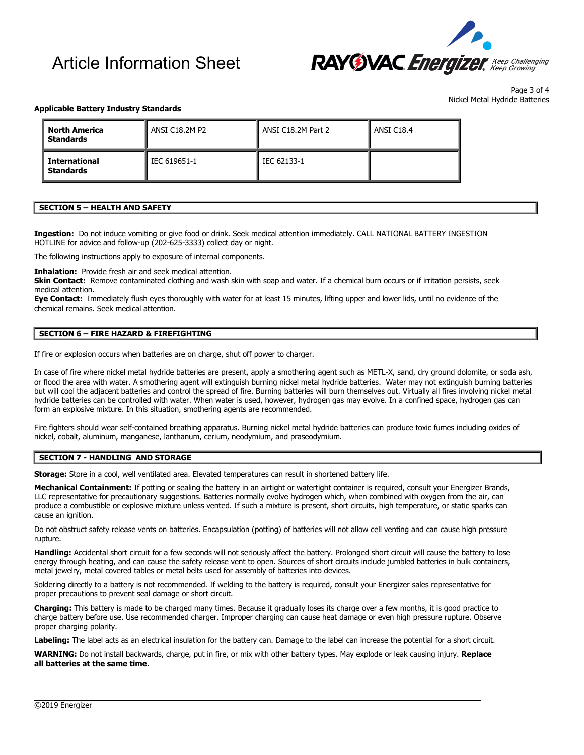# Article Information Sheet



Page 3 of 4 Nickel Metal Hydride Batteries

#### **Applicable Battery Industry Standards**

| <b>North America</b><br><b>Standards</b> | ANSI C18.2M P2 | ANSI C18.2M Part 2 | ANSI C18.4 |
|------------------------------------------|----------------|--------------------|------------|
| <b>International</b><br><b>Standards</b> | IEC 619651-1   | IEC 62133-1        |            |

#### **SECTION 5 – HEALTH AND SAFETY**

**Ingestion:** Do not induce vomiting or give food or drink. Seek medical attention immediately. CALL NATIONAL BATTERY INGESTION HOTLINE for advice and follow-up (202-625-3333) collect day or night.

The following instructions apply to exposure of internal components.

**Inhalation:** Provide fresh air and seek medical attention.

Skin Contact: Remove contaminated clothing and wash skin with soap and water. If a chemical burn occurs or if irritation persists, seek medical attention.

**Eye Contact:** Immediately flush eyes thoroughly with water for at least 15 minutes, lifting upper and lower lids, until no evidence of the chemical remains. Seek medical attention.

## **SECTION 6 – FIRE HAZARD & FIREFIGHTING**

If fire or explosion occurs when batteries are on charge, shut off power to charger.

In case of fire where nickel metal hydride batteries are present, apply a smothering agent such as METL-X, sand, dry ground dolomite, or soda ash, or flood the area with water. A smothering agent will extinguish burning nickel metal hydride batteries. Water may not extinguish burning batteries but will cool the adjacent batteries and control the spread of fire. Burning batteries will burn themselves out. Virtually all fires involving nickel metal hydride batteries can be controlled with water. When water is used, however, hydrogen gas may evolve. In a confined space, hydrogen gas can form an explosive mixture. In this situation, smothering agents are recommended.

Fire fighters should wear self-contained breathing apparatus. Burning nickel metal hydride batteries can produce toxic fumes including oxides of nickel, cobalt, aluminum, manganese, lanthanum, cerium, neodymium, and praseodymium.

#### **SECTION 7 - HANDLING AND STORAGE**

**Storage:** Store in a cool, well ventilated area. Elevated temperatures can result in shortened battery life.

Mechanical Containment: If potting or sealing the battery in an airtight or watertight container is required, consult your Energizer Brands, LLC representative for precautionary suggestions. Batteries normally evolve hydrogen which, when combined with oxygen from the air, can produce a combustible or explosive mixture unless vented. If such a mixture is present, short circuits, high temperature, or static sparks can cause an ignition.

Do not obstruct safety release vents on batteries. Encapsulation (potting) of batteries will not allow cell venting and can cause high pressure rupture.

**Handling:** Accidental short circuit for a few seconds will not seriously affect the battery. Prolonged short circuit will cause the battery to lose energy through heating, and can cause the safety release vent to open. Sources of short circuits include jumbled batteries in bulk containers, metal jewelry, metal covered tables or metal belts used for assembly of batteries into devices.

Soldering directly to a battery is not recommended. If welding to the battery is required, consult your Energizer sales representative for proper precautions to prevent seal damage or short circuit.

**Charging:** This battery is made to be charged many times. Because it gradually loses its charge over a few months, it is good practice to charge battery before use. Use recommended charger. Improper charging can cause heat damage or even high pressure rupture. Observe proper charging polarity.

**Labeling:** The label acts as an electrical insulation for the battery can. Damage to the label can increase the potential for a short circuit.

**WARNING:** Do not install backwards, charge, put in fire, or mix with other battery types. May explode or leak causing injury. **Replace all batteries at the same time.**

 $\overline{\phantom{a}}$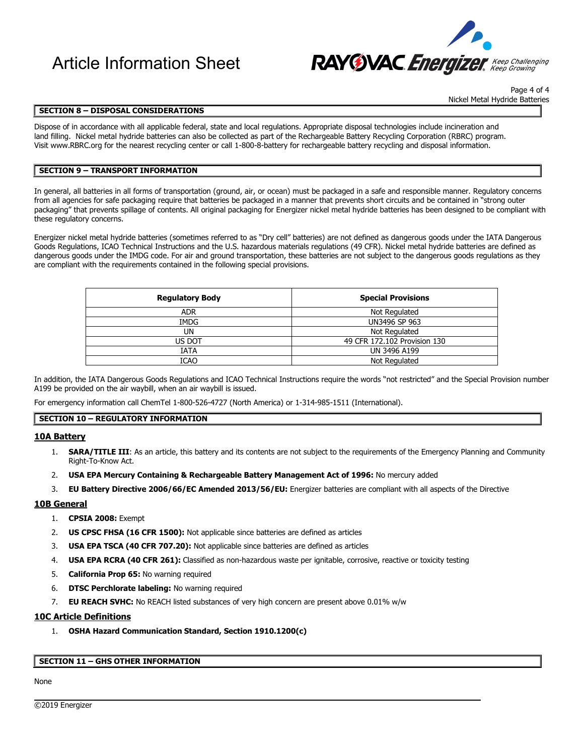

Page 4 of 4 Nickel Metal Hydride Batteries

## **SECTION 8 – DISPOSAL CONSIDERATIONS**

Dispose of in accordance with all applicable federal, state and local regulations. Appropriate disposal technologies include incineration and land filling. Nickel metal hydride batteries can also be collected as part of the Rechargeable Battery Recycling Corporation (RBRC) program. Visit [www.RBRC.org](http://www.rbrc.org/) for the nearest recycling center or call 1-800-8-battery for rechargeable battery recycling and disposal information.

#### **SECTION 9 – TRANSPORT INFORMATION**

In general, all batteries in all forms of transportation (ground, air, or ocean) must be packaged in a safe and responsible manner. Regulatory concerns from all agencies for safe packaging require that batteries be packaged in a manner that prevents short circuits and be contained in "strong outer packaging" that prevents spillage of contents. All original packaging for Energizer nickel metal hydride batteries has been designed to be compliant with these regulatory concerns.

Energizer nickel metal hydride batteries (sometimes referred to as "Dry cell" batteries) are not defined as dangerous goods under the IATA Dangerous Goods Regulations, ICAO Technical Instructions and the U.S. hazardous materials regulations (49 CFR). Nickel metal hydride batteries are defined as dangerous goods under the IMDG code. For air and ground transportation, these batteries are not subject to the dangerous goods regulations as they are compliant with the requirements contained in the following special provisions.

| <b>Regulatory Body</b> | <b>Special Provisions</b>    |
|------------------------|------------------------------|
| <b>ADR</b>             | Not Regulated                |
| <b>IMDG</b>            | UN3496 SP 963                |
| UN                     | Not Regulated                |
| US DOT                 | 49 CFR 172.102 Provision 130 |
| IATA                   | UN 3496 A199                 |
| <b>ICAO</b>            | Not Regulated                |

In addition, the IATA Dangerous Goods Regulations and ICAO Technical Instructions require the words "not restricted" and the Special Provision number A199 be provided on the air waybill, when an air waybill is issued.

For emergency information call ChemTel 1-800-526-4727 (North America) or 1-314-985-1511 (International).

## **SECTION 10 – REGULATORY INFORMATION**

#### **10A Battery**

- 1. **SARA/TITLE III**: As an article, this battery and its contents are not subject to the requirements of the Emergency Planning and Community Right-To-Know Act.
- 2. **USA EPA Mercury Containing & Rechargeable Battery Management Act of 1996:** No mercury added
- 3. **EU Battery Directive 2006/66/EC Amended 2013/56/EU:** Energizer batteries are compliant with all aspects of the Directive

 $\overline{\phantom{a}}$ 

## **10B General**

- 1. **CPSIA 2008:** Exempt
- 2. **US CPSC FHSA (16 CFR 1500):** Not applicable since batteries are defined as articles
- 3. **USA EPA TSCA (40 CFR 707.20):** Not applicable since batteries are defined as articles
- 4. **USA EPA RCRA (40 CFR 261):** Classified as non-hazardous waste per ignitable, corrosive, reactive or toxicity testing
- 5. **California Prop 65:** No warning required
- 6. **DTSC Perchlorate labeling:** No warning required
- 7. **EU REACH SVHC:** No REACH listed substances of very high concern are present above 0.01% w/w

#### **10C Article Definitions**

1. **OSHA Hazard Communication Standard, Section 1910.1200(c)** 

#### **SECTION 11 – GHS OTHER INFORMATION**

### None